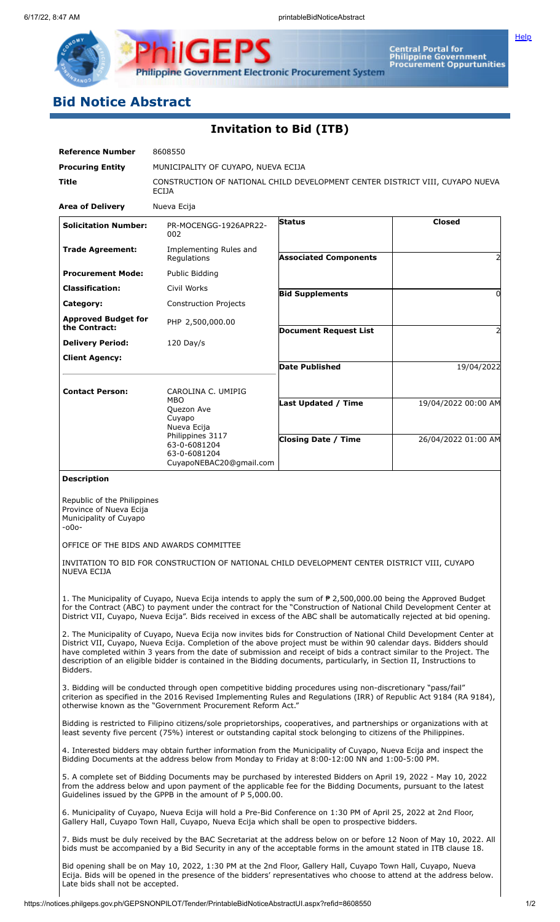**[Help](javascript:void(window.open()** 

Philippine Government Electronic Procurement System

PS

**ilgEl** 

Central Portal for<br>Philippine Government<br>Procurement Oppurtunities

## **Bid Notice Abstract**

P

## **Invitation to Bid (ITB)**

| <b>Reference Number</b>                                                                                                                                                                                                                                                                                                                                                                                                                                                                                 | 8608550                                                                                                                                                                                                                                                                                            |                              |                     |  |  |  |
|---------------------------------------------------------------------------------------------------------------------------------------------------------------------------------------------------------------------------------------------------------------------------------------------------------------------------------------------------------------------------------------------------------------------------------------------------------------------------------------------------------|----------------------------------------------------------------------------------------------------------------------------------------------------------------------------------------------------------------------------------------------------------------------------------------------------|------------------------------|---------------------|--|--|--|
| <b>Procuring Entity</b>                                                                                                                                                                                                                                                                                                                                                                                                                                                                                 | MUNICIPALITY OF CUYAPO, NUEVA ECIJA                                                                                                                                                                                                                                                                |                              |                     |  |  |  |
| <b>Title</b>                                                                                                                                                                                                                                                                                                                                                                                                                                                                                            | CONSTRUCTION OF NATIONAL CHILD DEVELOPMENT CENTER DISTRICT VIII, CUYAPO NUEVA<br>ECIJA                                                                                                                                                                                                             |                              |                     |  |  |  |
| <b>Area of Delivery</b>                                                                                                                                                                                                                                                                                                                                                                                                                                                                                 | Nueva Ecija                                                                                                                                                                                                                                                                                        |                              |                     |  |  |  |
| <b>Solicitation Number:</b>                                                                                                                                                                                                                                                                                                                                                                                                                                                                             | PR-MOCENGG-1926APR22-<br>002                                                                                                                                                                                                                                                                       | <b>Status</b>                | <b>Closed</b>       |  |  |  |
| <b>Trade Agreement:</b>                                                                                                                                                                                                                                                                                                                                                                                                                                                                                 | Implementing Rules and<br>Regulations                                                                                                                                                                                                                                                              | <b>Associated Components</b> | 2                   |  |  |  |
| <b>Procurement Mode:</b>                                                                                                                                                                                                                                                                                                                                                                                                                                                                                | Public Bidding                                                                                                                                                                                                                                                                                     |                              |                     |  |  |  |
| <b>Classification:</b>                                                                                                                                                                                                                                                                                                                                                                                                                                                                                  | Civil Works                                                                                                                                                                                                                                                                                        | <b>Bid Supplements</b>       | $\Omega$            |  |  |  |
| Category:                                                                                                                                                                                                                                                                                                                                                                                                                                                                                               | <b>Construction Projects</b>                                                                                                                                                                                                                                                                       |                              |                     |  |  |  |
| <b>Approved Budget for</b><br>the Contract:                                                                                                                                                                                                                                                                                                                                                                                                                                                             | PHP 2,500,000.00                                                                                                                                                                                                                                                                                   | <b>Document Request List</b> | 2                   |  |  |  |
| <b>Delivery Period:</b>                                                                                                                                                                                                                                                                                                                                                                                                                                                                                 | $120$ Day/s                                                                                                                                                                                                                                                                                        |                              |                     |  |  |  |
| <b>Client Agency:</b>                                                                                                                                                                                                                                                                                                                                                                                                                                                                                   |                                                                                                                                                                                                                                                                                                    | <b>Date Published</b>        | 19/04/2022          |  |  |  |
|                                                                                                                                                                                                                                                                                                                                                                                                                                                                                                         |                                                                                                                                                                                                                                                                                                    |                              |                     |  |  |  |
| <b>Contact Person:</b>                                                                                                                                                                                                                                                                                                                                                                                                                                                                                  | CAROLINA C. UMIPIG<br><b>MBO</b><br>Quezon Ave<br>Cuyapo<br>Nueva Ecija                                                                                                                                                                                                                            | <b>Last Updated / Time</b>   | 19/04/2022 00:00 AM |  |  |  |
|                                                                                                                                                                                                                                                                                                                                                                                                                                                                                                         | Philippines 3117<br>63-0-6081204<br>63-0-6081204<br>CuyapoNEBAC20@gmail.com                                                                                                                                                                                                                        | <b>Closing Date / Time</b>   | 26/04/2022 01:00 AM |  |  |  |
| <b>Description</b>                                                                                                                                                                                                                                                                                                                                                                                                                                                                                      |                                                                                                                                                                                                                                                                                                    |                              |                     |  |  |  |
| Republic of the Philippines<br>Province of Nueva Ecija<br>Municipality of Cuyapo<br>$-000-$<br><b>NUEVA ECIJA</b>                                                                                                                                                                                                                                                                                                                                                                                       | OFFICE OF THE BIDS AND AWARDS COMMITTEE<br>INVITATION TO BID FOR CONSTRUCTION OF NATIONAL CHILD DEVELOPMENT CENTER DISTRICT VIII, CUYAPO                                                                                                                                                           |                              |                     |  |  |  |
| 1. The Municipality of Cuyapo, Nueva Ecija intends to apply the sum of $P$ 2,500,000.00 being the Approved Budget<br>for the Contract (ABC) to payment under the contract for the "Construction of National Child Development Center at<br>District VII, Cuyapo, Nueva Ecija". Bids received in excess of the ABC shall be automatically rejected at bid opening.                                                                                                                                       |                                                                                                                                                                                                                                                                                                    |                              |                     |  |  |  |
| 2. The Municipality of Cuyapo, Nueva Ecija now invites bids for Construction of National Child Development Center at<br>District VII, Cuyapo, Nueva Ecija. Completion of the above project must be within 90 calendar days. Bidders should<br>have completed within 3 years from the date of submission and receipt of bids a contract similar to the Project. The<br>description of an eligible bidder is contained in the Bidding documents, particularly, in Section II, Instructions to<br>Bidders. |                                                                                                                                                                                                                                                                                                    |                              |                     |  |  |  |
|                                                                                                                                                                                                                                                                                                                                                                                                                                                                                                         | 3. Bidding will be conducted through open competitive bidding procedures using non-discretionary "pass/fail"<br>criterion as specified in the 2016 Revised Implementing Rules and Regulations (IRR) of Republic Act 9184 (RA 9184),<br>otherwise known as the "Government Procurement Reform Act." |                              |                     |  |  |  |
| Bidding is restricted to Filipino citizens/sole proprietorships, cooperatives, and partnerships or organizations with at<br>least seventy five percent (75%) interest or outstanding capital stock belonging to citizens of the Philippines.                                                                                                                                                                                                                                                            |                                                                                                                                                                                                                                                                                                    |                              |                     |  |  |  |
| 4. Interested bidders may obtain further information from the Municipality of Cuyapo, Nueva Ecija and inspect the<br>Bidding Documents at the address below from Monday to Friday at 8:00-12:00 NN and 1:00-5:00 PM.                                                                                                                                                                                                                                                                                    |                                                                                                                                                                                                                                                                                                    |                              |                     |  |  |  |
| 5. A complete set of Bidding Documents may be purchased by interested Bidders on April 19, 2022 - May 10, 2022<br>from the address below and upon payment of the applicable fee for the Bidding Documents, pursuant to the latest<br>Guidelines issued by the GPPB in the amount of P 5,000.00.                                                                                                                                                                                                         |                                                                                                                                                                                                                                                                                                    |                              |                     |  |  |  |
| 6. Municipality of Cuyapo, Nueva Ecija will hold a Pre-Bid Conference on 1:30 PM of April 25, 2022 at 2nd Floor,<br>Gallery Hall, Cuyapo Town Hall, Cuyapo, Nueva Ecija which shall be open to prospective bidders.                                                                                                                                                                                                                                                                                     |                                                                                                                                                                                                                                                                                                    |                              |                     |  |  |  |
| 7. Bids must be duly received by the BAC Secretariat at the address below on or before 12 Noon of May 10, 2022. All<br>bids must be accompanied by a Bid Security in any of the acceptable forms in the amount stated in ITB clause 18.                                                                                                                                                                                                                                                                 |                                                                                                                                                                                                                                                                                                    |                              |                     |  |  |  |

Bid opening shall be on May 10, 2022, 1:30 PM at the 2nd Floor, Gallery Hall, Cuyapo Town Hall, Cuyapo, Nueva Ecija. Bids will be opened in the presence of the bidders' representatives who choose to attend at the address below. Late bids shall not be accepted.